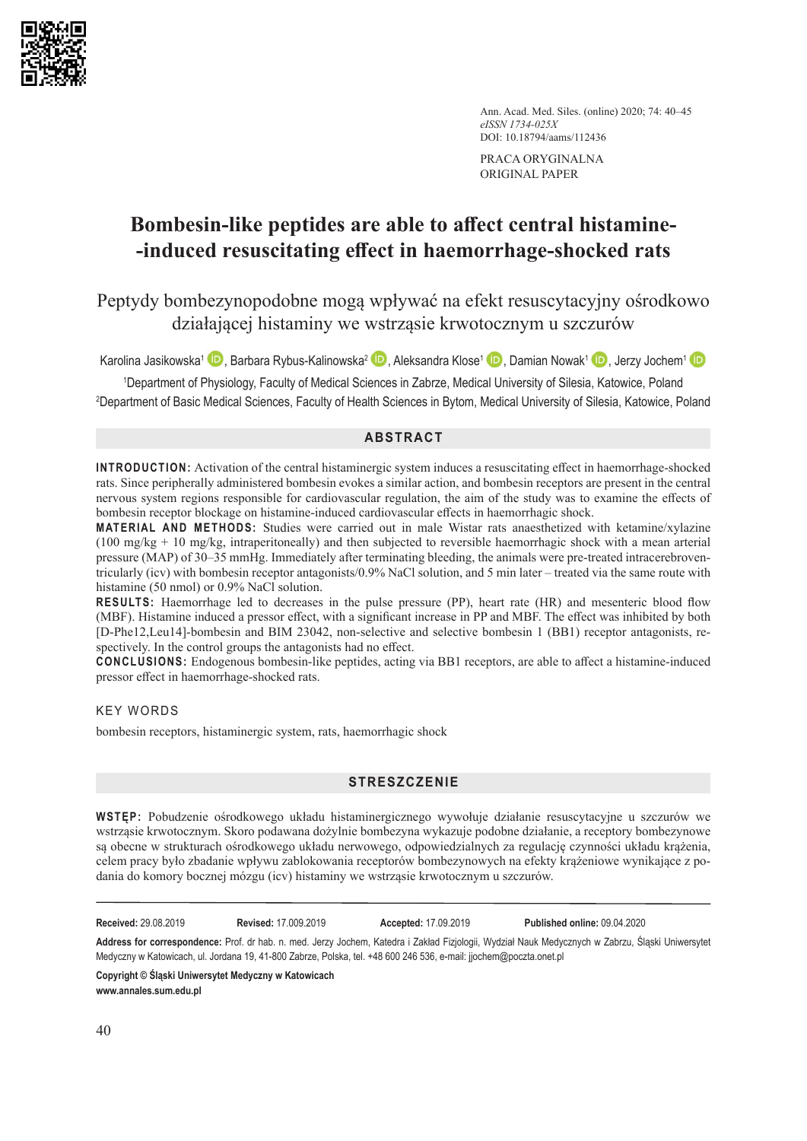

Ann. Acad. Med. Siles. (online) 2020; 74: 40–45 *eISSN 1734-025X* DOI: 10.18794/aams/112436

PRACA ORYGINALNA ORIGINAL PAPER

# **Bombesin-like peptides are able to affect central histamine- -induced resuscitating effect in haemorrhage-shocked rats**

## Peptydy bombezynopodobne mogą wpływać na efekt resuscytacyjny ośrodkowo działającej histaminy we wstrząsie krwotocznym u szczurów

Karolina Jasikowska<sup>1</sup> D, Barbara Rybus-Kalinowska<sup>2</sup> D, Aleksandra Klose<sup>1</sup> D, Damian Nowak<sup>1</sup> D, Jerzy Jochem<sup>1</sup> D

1 Department of Physiology, Faculty of Medical Sciences in Zabrze, Medical University of Silesia, Katowice, Poland 2 Department of Basic Medical Sciences, Faculty of Health Sciences in Bytom, Medical University of Silesia, Katowice, Poland

## **ABSTRACT**

**INTRODUCTION:** Activation of the central histaminergic system induces a resuscitating effect in haemorrhage-shocked rats. Since peripherally administered bombesin evokes a similar action, and bombesin receptors are present in the central nervous system regions responsible for cardiovascular regulation, the aim of the study was to examine the effects of bombesin receptor blockage on histamine-induced cardiovascular effects in haemorrhagic shock.

**MATERIAL AND METHODS:** Studies were carried out in male Wistar rats anaesthetized with ketamine/xylazine (100 mg/kg + 10 mg/kg, intraperitoneally) and then subjected to reversible haemorrhagic shock with a mean arterial pressure (MAP) of 30–35 mmHg. Immediately after terminating bleeding, the animals were pre-treated intracerebroventricularly (icv) with bombesin receptor antagonists/0.9% NaCl solution, and 5 min later – treated via the same route with histamine (50 nmol) or 0.9% NaCl solution.

**RESULTS:** Haemorrhage led to decreases in the pulse pressure (PP), heart rate (HR) and mesenteric blood flow (MBF). Histamine induced a pressor effect, with a significant increase in PP and MBF. The effect was inhibited by both [D-Phe12,Leu14]-bombesin and BIM 23042, non-selective and selective bombesin 1 (BB1) receptor antagonists, respectively. In the control groups the antagonists had no effect.

**CONCLUSIONS:** Endogenous bombesin-like peptides, acting via BB1 receptors, are able to affect a histamine-induced pressor effect in haemorrhage-shocked rats.

KEY WORDS

bombesin receptors, histaminergic system, rats, haemorrhagic shock

## **STRESZCZENIE**

**WSTĘP:** Pobudzenie ośrodkowego układu histaminergicznego wywołuje działanie resuscytacyjne u szczurów we wstrząsie krwotocznym. Skoro podawana dożylnie bombezyna wykazuje podobne działanie, a receptory bombezynowe są obecne w strukturach ośrodkowego układu nerwowego, odpowiedzialnych za regulację czynności układu krążenia, celem pracy było zbadanie wpływu zablokowania receptorów bombezynowych na efekty krążeniowe wynikające z podania do komory bocznej mózgu (icv) histaminy we wstrząsie krwotocznym u szczurów.

**Received:** 29.08.2019 **Revised:** 17.009.2019 **Accepted:** 17.09.2019 **Published online:** 09.04.2020

**Address for correspondence:** Prof. dr hab. n. med. Jerzy Jochem, Katedra i Zakład Fizjologii, Wydział Nauk Medycznych w Zabrzu, Śląski Uniwersytet Medyczny w Katowicach, ul. Jordana 19, 41-800 Zabrze, Polska, tel. +48 600 246 536, e-mail: jjochem@poczta.onet.pl

**Copyright © Śląski Uniwersytet Medyczny w Katowicach**

**www.annales.sum.edu.pl**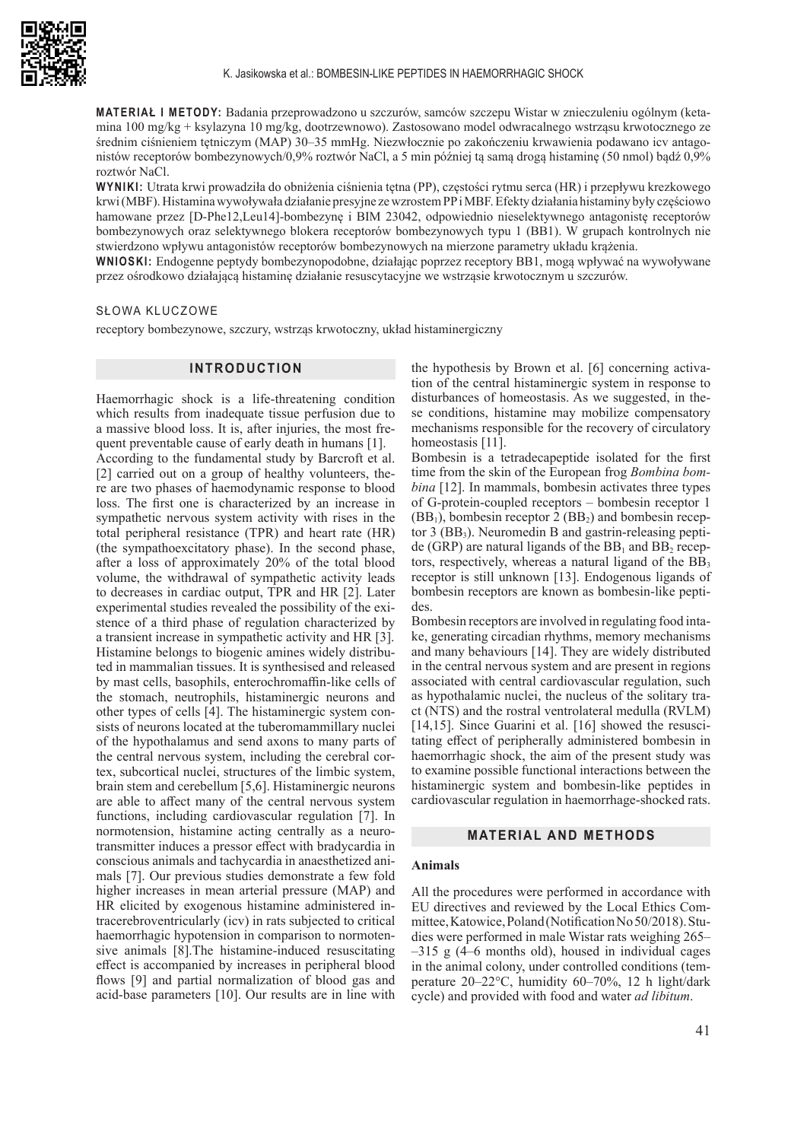

**MATERIAŁ I METODY:** Badania przeprowadzono u szczurów, samców szczepu Wistar w znieczuleniu ogólnym (ketamina 100 mg/kg + ksylazyna 10 mg/kg, dootrzewnowo). Zastosowano model odwracalnego wstrząsu krwotocznego ze średnim ciśnieniem tętniczym (MAP) 30–35 mmHg. Niezwłocznie po zakończeniu krwawienia podawano icv antagonistów receptorów bombezynowych/0,9% roztwór NaCl, a 5 min później tą samą drogą histaminę (50 nmol) bądź 0,9% roztwór NaCl.

**WYNIKI:** Utrata krwi prowadziła do obniżenia ciśnienia tętna (PP), częstości rytmu serca (HR) i przepływu krezkowego krwi (MBF). Histamina wywoływała działanie presyjne ze wzrostem PP i MBF. Efekty działania histaminy były częściowo hamowane przez [D-Phe12,Leu14]-bombezynę i BIM 23042, odpowiednio nieselektywnego antagonistę receptorów bombezynowych oraz selektywnego blokera receptorów bombezynowych typu 1 (BB1). W grupach kontrolnych nie stwierdzono wpływu antagonistów receptorów bombezynowych na mierzone parametry układu krążenia.

**WNIOSKI:** Endogenne peptydy bombezynopodobne, działając poprzez receptory BB1, mogą wpływać na wywoływane przez ośrodkowo działającą histaminę działanie resuscytacyjne we wstrząsie krwotocznym u szczurów.

#### SŁOWA KLUCZOWE

receptory bombezynowe, szczury, wstrząs krwotoczny, układ histaminergiczny

#### **INTRODUCTION**

Haemorrhagic shock is a life-threatening condition which results from inadequate tissue perfusion due to a massive blood loss. It is, after injuries, the most frequent preventable cause of early death in humans [1].

According to the fundamental study by Barcroft et al. [2] carried out on a group of healthy volunteers, there are two phases of haemodynamic response to blood loss. The first one is characterized by an increase in sympathetic nervous system activity with rises in the total peripheral resistance (TPR) and heart rate (HR) (the sympathoexcitatory phase). In the second phase, after a loss of approximately 20% of the total blood volume, the withdrawal of sympathetic activity leads to decreases in cardiac output, TPR and HR [2]. Later experimental studies revealed the possibility of the existence of a third phase of regulation characterized by a transient increase in sympathetic activity and HR [3]. Histamine belongs to biogenic amines widely distributed in mammalian tissues. It is synthesised and released by mast cells, basophils, enterochromaffin-like cells of the stomach, neutrophils, histaminergic neurons and other types of cells [4]. The histaminergic system consists of neurons located at the tuberomammillary nuclei of the hypothalamus and send axons to many parts of the central nervous system, including the cerebral cortex, subcortical nuclei, structures of the limbic system, brain stem and cerebellum [5,6]. Histaminergic neurons are able to affect many of the central nervous system functions, including cardiovascular regulation [7]. In normotension, histamine acting centrally as a neurotransmitter induces a pressor effect with bradycardia in conscious animals and tachycardia in anaesthetized animals [7]. Our previous studies demonstrate a few fold higher increases in mean arterial pressure (MAP) and HR elicited by exogenous histamine administered intracerebroventricularly (icv) in rats subjected to critical haemorrhagic hypotension in comparison to normotensive animals [8].The histamine-induced resuscitating effect is accompanied by increases in peripheral blood flows [9] and partial normalization of blood gas and acid-base parameters [10]. Our results are in line with

the hypothesis by Brown et al. [6] concerning activation of the central histaminergic system in response to disturbances of homeostasis. As we suggested, in these conditions, histamine may mobilize compensatory mechanisms responsible for the recovery of circulatory homeostasis [11].

Bombesin is a tetradecapeptide isolated for the first time from the skin of the European frog *Bombina bombina* [12]. In mammals, bombesin activates three types of G-protein-coupled receptors – bombesin receptor 1  $(BB<sub>1</sub>)$ , bombesin receptor 2  $(BB<sub>2</sub>)$  and bombesin receptor  $3$  (BB<sub>3</sub>). Neuromedin B and gastrin-releasing peptide (GRP) are natural ligands of the  $BB_1$  and  $BB_2$  receptors, respectively, whereas a natural ligand of the  $BB<sub>3</sub>$ receptor is still unknown [13]. Endogenous ligands of bombesin receptors are known as bombesin-like peptides.

Bombesin receptors are involved in regulating food intake, generating circadian rhythms, memory mechanisms and many behaviours [14]. They are widely distributed in the central nervous system and are present in regions associated with central cardiovascular regulation, such as hypothalamic nuclei, the nucleus of the solitary tract (NTS) and the rostral ventrolateral medulla (RVLM) [14,15]. Since Guarini et al. [16] showed the resuscitating effect of peripherally administered bombesin in haemorrhagic shock, the aim of the present study was to examine possible functional interactions between the histaminergic system and bombesin-like peptides in cardiovascular regulation in haemorrhage-shocked rats.

#### **MATERIAL AND METHODS**

#### **Animals**

All the procedures were performed in accordance with EU directives and reviewed by the Local Ethics Committee, Katowice, Poland (Notification No 50/2018). Studies were performed in male Wistar rats weighing 265–  $-315$  g (4–6 months old), housed in individual cages in the animal colony, under controlled conditions (temperature 20–22°C, humidity 60–70%, 12 h light/dark cycle) and provided with food and water *ad libitum*.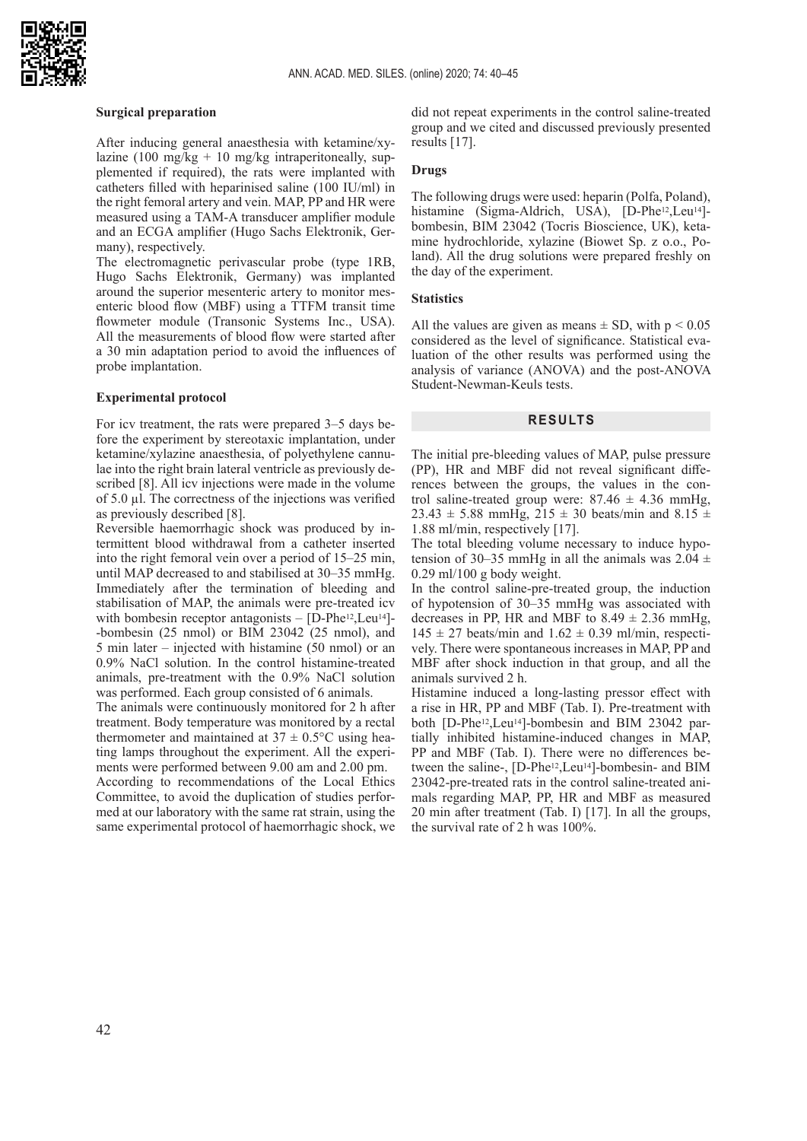

### **Surgical preparation**

After inducing general anaesthesia with ketamine/xylazine (100 mg/kg + 10 mg/kg intraperitoneally, supplemented if required), the rats were implanted with catheters filled with heparinised saline (100 IU/ml) in the right femoral artery and vein. MAP, PP and HR were measured using a TAM-A transducer amplifier module and an ECGA amplifier (Hugo Sachs Elektronik, Germany), respectively.

The electromagnetic perivascular probe (type 1RB, Hugo Sachs Elektronik, Germany) was implanted around the superior mesenteric artery to monitor mesenteric blood flow (MBF) using a TTFM transit time flowmeter module (Transonic Systems Inc., USA). All the measurements of blood flow were started after a 30 min adaptation period to avoid the influences of probe implantation.

#### **Experimental protocol**

For icv treatment, the rats were prepared 3–5 days before the experiment by stereotaxic implantation, under ketamine/xylazine anaesthesia, of polyethylene cannulae into the right brain lateral ventricle as previously described [8]. All icv injections were made in the volume of 5.0 µl. The correctness of the injections was verified as previously described [8].

Reversible haemorrhagic shock was produced by intermittent blood withdrawal from a catheter inserted into the right femoral vein over a period of 15–25 min, until MAP decreased to and stabilised at 30–35 mmHg. Immediately after the termination of bleeding and stabilisation of MAP, the animals were pre-treated icv with bombesin receptor antagonists –  $[D-Phe^{12},Leu^{14}]$ --bombesin (25 nmol) or BIM 23042 (25 nmol), and 5 min later – injected with histamine (50 nmol) or an 0.9% NaCl solution. In the control histamine-treated animals, pre-treatment with the 0.9% NaCl solution was performed. Each group consisted of 6 animals.

The animals were continuously monitored for 2 h after treatment. Body temperature was monitored by a rectal thermometer and maintained at  $37 \pm 0.5$ °C using heating lamps throughout the experiment. All the experiments were performed between 9.00 am and 2.00 pm.

According to recommendations of the Local Ethics Committee, to avoid the duplication of studies performed at our laboratory with the same rat strain, using the same experimental protocol of haemorrhagic shock, we

did not repeat experiments in the control saline-treated group and we cited and discussed previously presented results [17].

#### **Drugs**

The following drugs were used: heparin (Polfa, Poland), histamine (Sigma-Aldrich, USA), [D-Phe<sup>12</sup>,Leu<sup>14</sup>]bombesin, BIM 23042 (Tocris Bioscience, UK), ketamine hydrochloride, xylazine (Biowet Sp. z o.o., Poland). All the drug solutions were prepared freshly on the day of the experiment.

#### **Statistics**

All the values are given as means  $\pm$  SD, with p < 0.05 considered as the level of significance. Statistical evaluation of the other results was performed using the analysis of variance (ANOVA) and the post-ANOVA Student-Newman-Keuls tests.

### **RESULTS**

The initial pre-bleeding values of MAP, pulse pressure (PP), HR and MBF did not reveal significant differences between the groups, the values in the control saline-treated group were:  $87.46 \pm 4.36$  mmHg, 23.43  $\pm$  5.88 mmHg, 215  $\pm$  30 beats/min and 8.15  $\pm$ 1.88 ml/min, respectively [17].

The total bleeding volume necessary to induce hypotension of 30–35 mmHg in all the animals was 2.04  $\pm$ 0.29 ml/100 g body weight.

In the control saline-pre-treated group, the induction of hypotension of 30–35 mmHg was associated with decreases in PP, HR and MBF to  $8.49 \pm 2.36$  mmHg,  $145 \pm 27$  beats/min and  $1.62 \pm 0.39$  ml/min, respectively. There were spontaneous increases in MAP, PP and MBF after shock induction in that group, and all the animals survived 2 h.

Histamine induced a long-lasting pressor effect with a rise in HR, PP and MBF (Tab. I). Pre-treatment with both [D-Phe12,Leu14]-bombesin and BIM 23042 partially inhibited histamine-induced changes in MAP, PP and MBF (Tab. I). There were no differences between the saline-, [D-Phe12,Leu14]-bombesin- and BIM 23042-pre-treated rats in the control saline-treated animals regarding MAP, PP, HR and MBF as measured 20 min after treatment (Tab. I) [17]. In all the groups, the survival rate of 2 h was 100%.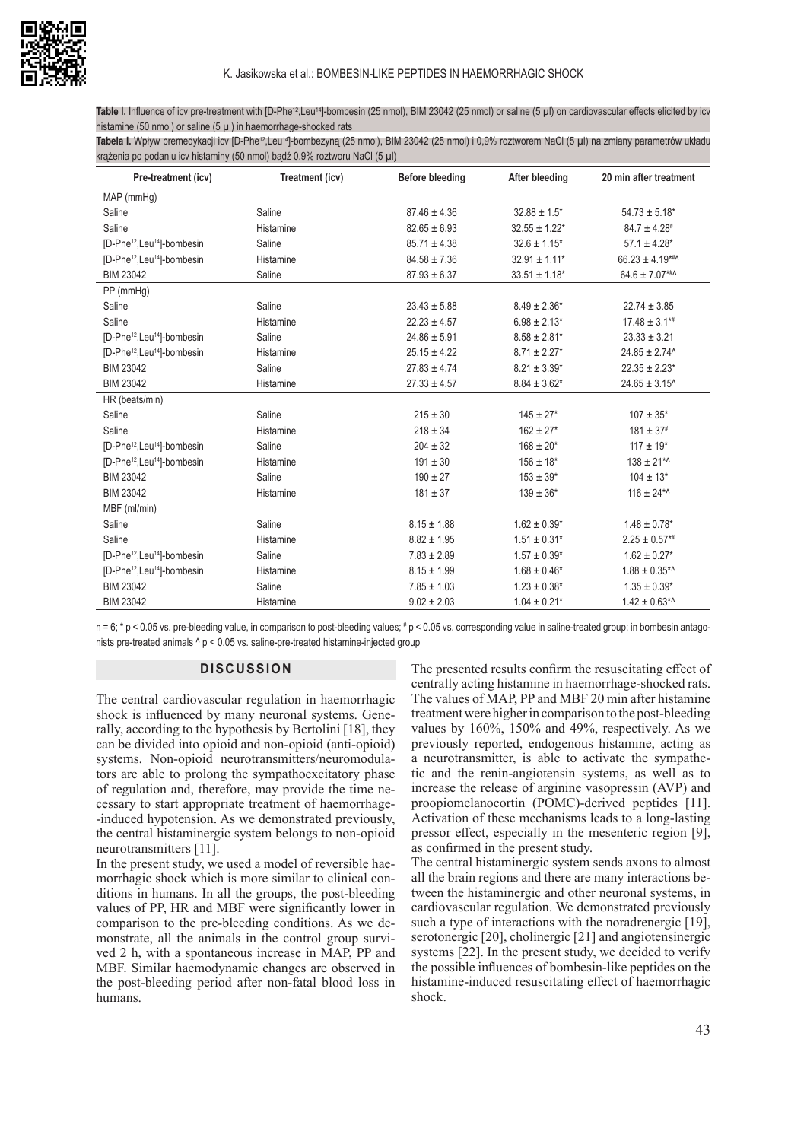

Table I. Influence of icv pre-treatment with [D-Phe<sup>12</sup>,Leu<sup>14</sup>]-bombesin (25 nmol), BIM 23042 (25 nmol) or saline (5 µl) on cardiovascular effects elicited by icv histamine (50 nmol) or saline (5 µl) in haemorrhage-shocked rats

Tabela I. Wpływ premedykacji icv [D-Phe<sup>12</sup>,Leu<sup>14</sup>]-bombezyną (25 nmol), BIM 23042 (25 nmol) i 0,9% roztworem NaCl (5 µl) na zmiany parametrów układu krążenia po podaniu icv histaminy (50 nmol) bądź 0,9% roztworu NaCl (5 µl)

| Pre-treatment (icv)                                 | Treatment (icv) | <b>Before bleeding</b> | After bleeding                | 20 min after treatment        |
|-----------------------------------------------------|-----------------|------------------------|-------------------------------|-------------------------------|
| MAP (mmHg)                                          |                 |                        |                               |                               |
| Saline                                              | Saline          | $87.46 \pm 4.36$       | $32.88 \pm 1.5^*$             | $54.73 \pm 5.18^*$            |
| Saline                                              | Histamine       | $82.65 \pm 6.93$       | $32.55 \pm 1.22^*$            | $84.7 \pm 4.28^{\#}$          |
| [D-Phe <sup>12</sup> , Leu <sup>14</sup> ]-bombesin | Saline          | $85.71 \pm 4.38$       | $32.6 \pm 1.15^*$             | $57.1 \pm 4.28*$              |
| [D-Phe <sup>12</sup> , Leu <sup>14</sup> ]-bombesin | Histamine       | $84.58 \pm 7.36$       | $32.91 \pm 1.11$ <sup>*</sup> | $66.23 \pm 4.19***$           |
| <b>BIM 23042</b>                                    | Saline          | $87.93 \pm 6.37$       | $33.51 \pm 1.18^*$            | $64.6 \pm 7.07***$            |
| $PP$ (mmHg)                                         |                 |                        |                               |                               |
| Saline                                              | Saline          | $23.43 \pm 5.88$       | $8.49 \pm 2.36*$              | $22.74 \pm 3.85$              |
| Saline                                              | Histamine       | $22.23 \pm 4.57$       | $6.98 \pm 2.13*$              | $17.48 \pm 3.1***$            |
| [D-Phe <sup>12</sup> , Leu <sup>14</sup> ]-bombesin | Saline          | $24.86 \pm 5.91$       | $8.58 \pm 2.81$ <sup>*</sup>  | $23.33 \pm 3.21$              |
| [D-Phe <sup>12</sup> , Leu <sup>14</sup> ]-bombesin | Histamine       | $25.15 \pm 4.22$       | $8.71 \pm 2.27$ *             | $24.85 \pm 2.74$ <sup>^</sup> |
| <b>BIM 23042</b>                                    | Saline          | $27.83 \pm 4.74$       | $8.21 \pm 3.39*$              | $22.35 \pm 2.23^*$            |
| <b>BIM 23042</b>                                    | Histamine       | $27.33 \pm 4.57$       | $8.84 \pm 3.62^*$             | $24.65 \pm 3.15^{\circ}$      |
| HR (beats/min)                                      |                 |                        |                               |                               |
| Saline                                              | Saline          | $215 \pm 30$           | $145 \pm 27$ *                | $107 \pm 35$ <sup>*</sup>     |
| Saline                                              | Histamine       | $218 \pm 34$           | $162 \pm 27$ *                | $181 \pm 37$ <sup>#</sup>     |
| [D-Phe <sup>12</sup> , Leu <sup>14</sup> ]-bombesin | Saline          | $204 \pm 32$           | $168 \pm 20*$                 | $117 \pm 19$ <sup>*</sup>     |
| [D-Phe <sup>12</sup> , Leu <sup>14</sup> ]-bombesin | Histamine       | $191 \pm 30$           | $156 \pm 18$ <sup>*</sup>     | $138 \pm 21$ *^               |
| <b>BIM 23042</b>                                    | Saline          | $190 \pm 27$           | $153 \pm 39*$                 | $104 \pm 13$ *                |
| <b>BIM 23042</b>                                    | Histamine       | $181 \pm 37$           | $139 \pm 36*$                 | $116 \pm 24$ *^               |
| MBF (ml/min)                                        |                 |                        |                               |                               |
| Saline                                              | Saline          | $8.15 \pm 1.88$        | $1.62 \pm 0.39^*$             | $1.48 \pm 0.78$ *             |
| Saline                                              | Histamine       | $8.82 \pm 1.95$        | $1.51 \pm 0.31$ *             | $2.25 \pm 0.57**$             |
| [D-Phe <sup>12</sup> , Leu <sup>14</sup> ]-bombesin | Saline          | $7.83 \pm 2.89$        | $1.57 \pm 0.39*$              | $1.62 \pm 0.27$ *             |
| [D-Phe <sup>12</sup> , Leu <sup>14</sup> ]-bombesin | Histamine       | $8.15 \pm 1.99$        | $1.68 \pm 0.46^*$             | $1.88 \pm 0.35$ *^            |
| <b>BIM 23042</b>                                    | Saline          | $7.85 \pm 1.03$        | $1.23 \pm 0.38^*$             | $1.35 \pm 0.39*$              |
| <b>BIM 23042</b>                                    | Histamine       | $9.02 \pm 2.03$        | $1.04 \pm 0.21*$              | $1.42 \pm 0.63$ *^            |

n = 6; \* p < 0.05 vs. pre-bleeding value, in comparison to post-bleeding values; # p < 0.05 vs. corresponding value in saline-treated group; in bombesin antagonists pre-treated animals ^ p < 0.05 vs. saline-pre-treated histamine-injected group

#### **DISCUSSION**

The central cardiovascular regulation in haemorrhagic shock is influenced by many neuronal systems. Generally, according to the hypothesis by Bertolini [18], they can be divided into opioid and non-opioid (anti-opioid) systems. Non-opioid neurotransmitters/neuromodulators are able to prolong the sympathoexcitatory phase of regulation and, therefore, may provide the time necessary to start appropriate treatment of haemorrhage- -induced hypotension. As we demonstrated previously, the central histaminergic system belongs to non-opioid neurotransmitters [11].

In the present study, we used a model of reversible haemorrhagic shock which is more similar to clinical conditions in humans. In all the groups, the post-bleeding values of PP, HR and MBF were significantly lower in comparison to the pre-bleeding conditions. As we demonstrate, all the animals in the control group survived 2 h, with a spontaneous increase in MAP, PP and MBF. Similar haemodynamic changes are observed in the post-bleeding period after non-fatal blood loss in humans.

The presented results confirm the resuscitating effect of centrally acting histamine in haemorrhage-shocked rats. The values of MAP, PP and MBF 20 min after histamine treatment were higher in comparison to the post-bleeding values by 160%, 150% and 49%, respectively. As we previously reported, endogenous histamine, acting as a neurotransmitter, is able to activate the sympathetic and the renin-angiotensin systems, as well as to increase the release of arginine vasopressin (AVP) and proopiomelanocortin (POMC)-derived peptides [11]. Activation of these mechanisms leads to a long-lasting pressor effect, especially in the mesenteric region [9], as confirmed in the present study.

The central histaminergic system sends axons to almost all the brain regions and there are many interactions between the histaminergic and other neuronal systems, in cardiovascular regulation. We demonstrated previously such a type of interactions with the noradrenergic [19], serotonergic [20], cholinergic [21] and angiotensinergic systems [22]. In the present study, we decided to verify the possible influences of bombesin-like peptides on the histamine-induced resuscitating effect of haemorrhagic shock.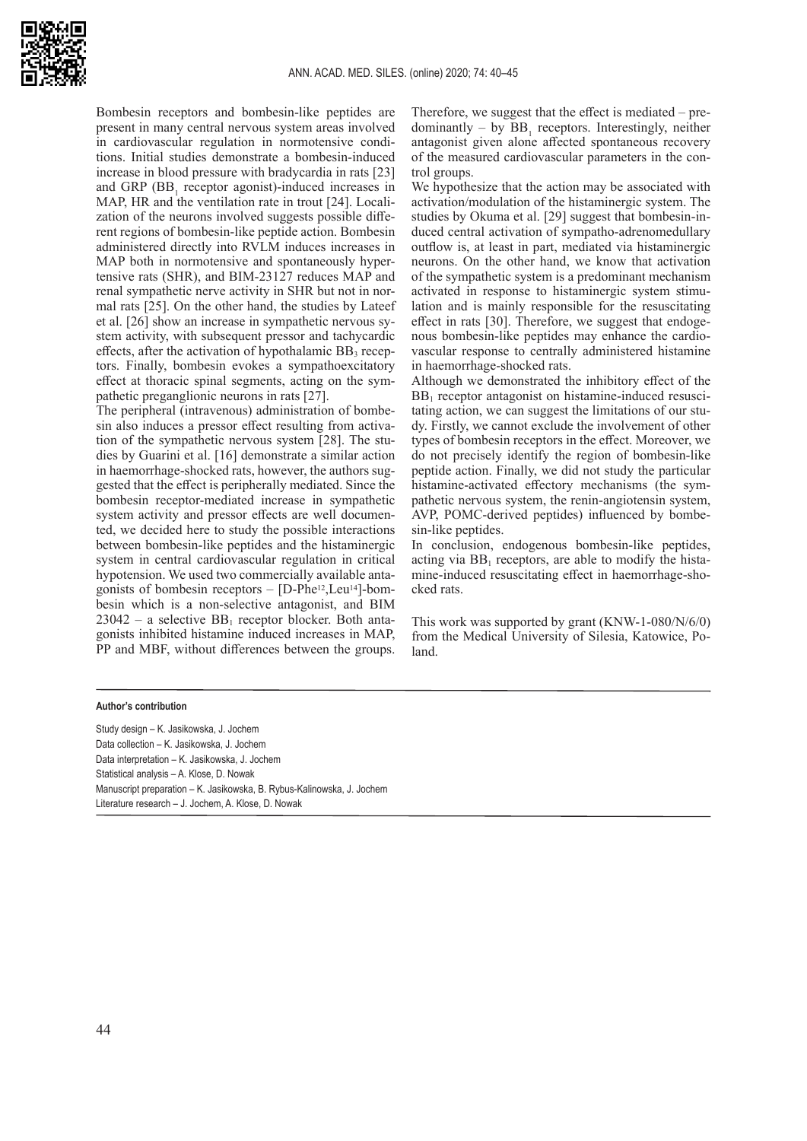

Bombesin receptors and bombesin-like peptides are present in many central nervous system areas involved in cardiovascular regulation in normotensive conditions. Initial studies demonstrate a bombesin-induced increase in blood pressure with bradycardia in rats [23] and GRP  $(BB_1)$  receptor agonist)-induced increases in MAP, HR and the ventilation rate in trout [24]. Localization of the neurons involved suggests possible different regions of bombesin-like peptide action. Bombesin administered directly into RVLM induces increases in MAP both in normotensive and spontaneously hypertensive rats (SHR), and BIM-23127 reduces MAP and renal sympathetic nerve activity in SHR but not in normal rats [25]. On the other hand, the studies by Lateef et al. [26] show an increase in sympathetic nervous system activity, with subsequent pressor and tachycardic effects, after the activation of hypothalamic  $BB<sub>3</sub>$  receptors. Finally, bombesin evokes a sympathoexcitatory effect at thoracic spinal segments, acting on the sympathetic preganglionic neurons in rats [27].

The peripheral (intravenous) administration of bombesin also induces a pressor effect resulting from activation of the sympathetic nervous system [28]. The studies by Guarini et al. [16] demonstrate a similar action in haemorrhage-shocked rats, however, the authors suggested that the effect is peripherally mediated. Since the bombesin receptor-mediated increase in sympathetic system activity and pressor effects are well documented, we decided here to study the possible interactions between bombesin-like peptides and the histaminergic system in central cardiovascular regulation in critical hypotension. We used two commercially available antagonists of bombesin receptors  $-$  [D-Phe<sup>12</sup>, Leu<sup>14</sup>]-bombesin which is a non-selective antagonist, and BIM  $23042 - a$  selective BB<sub>1</sub> receptor blocker. Both antagonists inhibited histamine induced increases in MAP, PP and MBF, without differences between the groups.

Therefore, we suggest that the effect is mediated – predominantly – by  $BB_1$  receptors. Interestingly, neither antagonist given alone affected spontaneous recovery of the measured cardiovascular parameters in the control groups.

We hypothesize that the action may be associated with activation/modulation of the histaminergic system. The studies by Okuma et al. [29] suggest that bombesin-induced central activation of sympatho-adrenomedullary outflow is, at least in part, mediated via histaminergic neurons. On the other hand, we know that activation of the sympathetic system is a predominant mechanism activated in response to histaminergic system stimulation and is mainly responsible for the resuscitating effect in rats [30]. Therefore, we suggest that endogenous bombesin-like peptides may enhance the cardiovascular response to centrally administered histamine in haemorrhage-shocked rats.

Although we demonstrated the inhibitory effect of the BB<sub>1</sub> receptor antagonist on histamine-induced resuscitating action, we can suggest the limitations of our study. Firstly, we cannot exclude the involvement of other types of bombesin receptors in the effect. Moreover, we do not precisely identify the region of bombesin-like peptide action. Finally, we did not study the particular histamine-activated effectory mechanisms (the sympathetic nervous system, the renin-angiotensin system, AVP, POMC-derived peptides) influenced by bombesin-like peptides.

In conclusion, endogenous bombesin-like peptides, acting via  $BB_1$  receptors, are able to modify the histamine-induced resuscitating effect in haemorrhage-shocked rats.

This work was supported by grant (KNW-1-080/N/6/0) from the Medical University of Silesia, Katowice, Poland.

#### **Author's contribution**

Study design – K. Jasikowska, J. Jochem Data collection – K. Jasikowska, J. Jochem Data interpretation – K. Jasikowska, J. Jochem Statistical analysis – A. Klose, D. Nowak Manuscript preparation – K. Jasikowska, B. Rybus-Kalinowska, J. Jochem Literature research – J. Jochem, A. Klose, D. Nowak